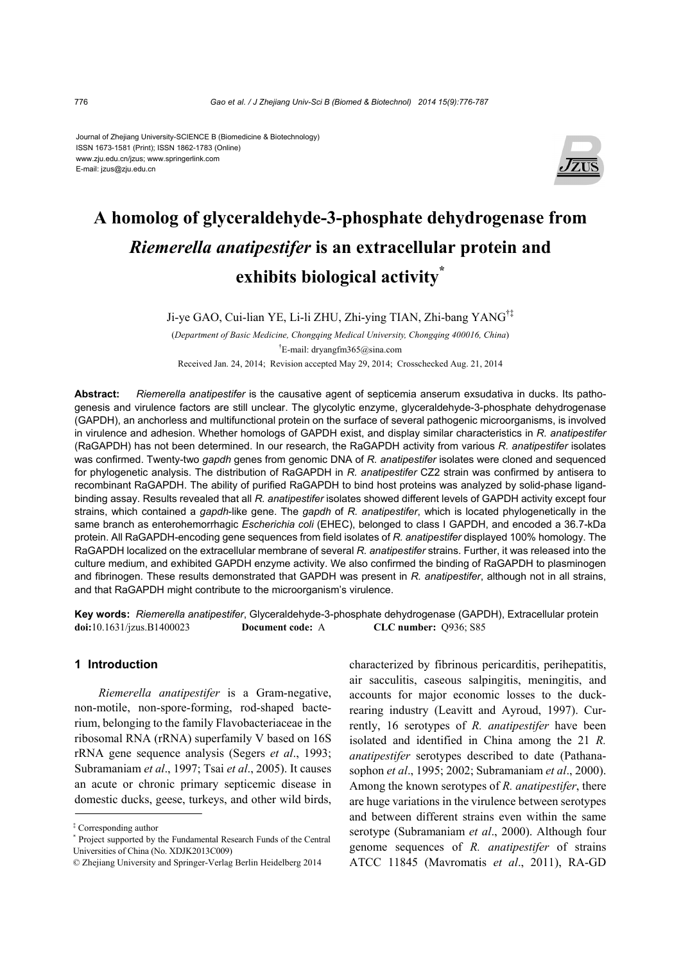#### Journal of Zhejiang University-SCIENCE B (Biomedicine & Biotechnology) ISSN 1673-1581 (Print); ISSN 1862-1783 (Online) www.zju.edu.cn/jzus; www.springerlink.com E-mail: jzus@zju.edu.cn



# **A homolog of glyceraldehyde-3-phosphate dehydrogenase from**  *Riemerella anatipestifer* **is an extracellular protein and exhibits biological activity\***

Ji-ye GAO, Cui-lian YE, Li-li ZHU, Zhi-ying TIAN, Zhi-bang YANG†‡

(*Department of Basic Medicine, Chongqing Medical University, Chongqing 400016, China*) † E-mail: dryangfm365@sina.com

Received Jan. 24, 2014; Revision accepted May 29, 2014; Crosschecked Aug. 21, 2014

**Abstract:** *Riemerella anatipestifer* is the causative agent of septicemia anserum exsudativa in ducks. Its pathogenesis and virulence factors are still unclear. The glycolytic enzyme, glyceraldehyde-3-phosphate dehydrogenase (GAPDH), an anchorless and multifunctional protein on the surface of several pathogenic microorganisms, is involved in virulence and adhesion. Whether homologs of GAPDH exist, and display similar characteristics in *R. anatipestifer* (RaGAPDH) has not been determined. In our research, the RaGAPDH activity from various *R. anatipestifer* isolates was confirmed. Twenty-two *gapdh* genes from genomic DNA of *R. anatipestifer* isolates were cloned and sequenced for phylogenetic analysis. The distribution of RaGAPDH in *R. anatipestifer* CZ2 strain was confirmed by antisera to recombinant RaGAPDH. The ability of purified RaGAPDH to bind host proteins was analyzed by solid-phase ligandbinding assay. Results revealed that all *R. anatipestifer* isolates showed different levels of GAPDH activity except four strains, which contained a *gapdh*-like gene. The *gapdh* of *R. anatipestifer*, which is located phylogenetically in the same branch as enterohemorrhagic *Escherichia coli* (EHEC), belonged to class I GAPDH, and encoded a 36.7-kDa protein. All RaGAPDH-encoding gene sequences from field isolates of *R. anatipestifer* displayed 100% homology. The RaGAPDH localized on the extracellular membrane of several *R. anatipestifer* strains. Further, it was released into the culture medium, and exhibited GAPDH enzyme activity. We also confirmed the binding of RaGAPDH to plasminogen and fibrinogen. These results demonstrated that GAPDH was present in *R. anatipestifer*, although not in all strains, and that RaGAPDH might contribute to the microorganism's virulence.

**Key words:** *Riemerella anatipestifer*, Glyceraldehyde-3-phosphate dehydrogenase (GAPDH), Extracellular protein **doi:**10.1631/jzus.B1400023 **Document code:** A **CLC number:** Q936; S85

# **1 Introduction**

*Riemerella anatipestifer* is a Gram-negative, non-motile, non-spore-forming, rod-shaped bacterium, belonging to the family Flavobacteriaceae in the ribosomal RNA (rRNA) superfamily V based on 16S rRNA gene sequence analysis (Segers *et al*., 1993; Subramaniam *et al*., 1997; Tsai *et al*., 2005). It causes an acute or chronic primary septicemic disease in domestic ducks, geese, turkeys, and other wild birds,

characterized by fibrinous pericarditis, perihepatitis, air sacculitis, caseous salpingitis, meningitis, and accounts for major economic losses to the duckrearing industry (Leavitt and Ayroud, 1997). Currently, 16 serotypes of *R. anatipestifer* have been isolated and identified in China among the 21 *R. anatipestifer* serotypes described to date (Pathanasophon *et al*., 1995; 2002; Subramaniam *et al*., 2000). Among the known serotypes of *R. anatipestifer*, there are huge variations in the virulence between serotypes and between different strains even within the same serotype (Subramaniam *et al*., 2000). Although four genome sequences of *R. anatipestifer* of strains ATCC 11845 (Mavromatis *et al*., 2011), RA-GD

<sup>‡</sup> Corresponding author

<sup>\*</sup> Project supported by the Fundamental Research Funds of the Central Universities of China (No. XDJK2013C009)

<sup>©</sup> Zhejiang University and Springer-Verlag Berlin Heidelberg 2014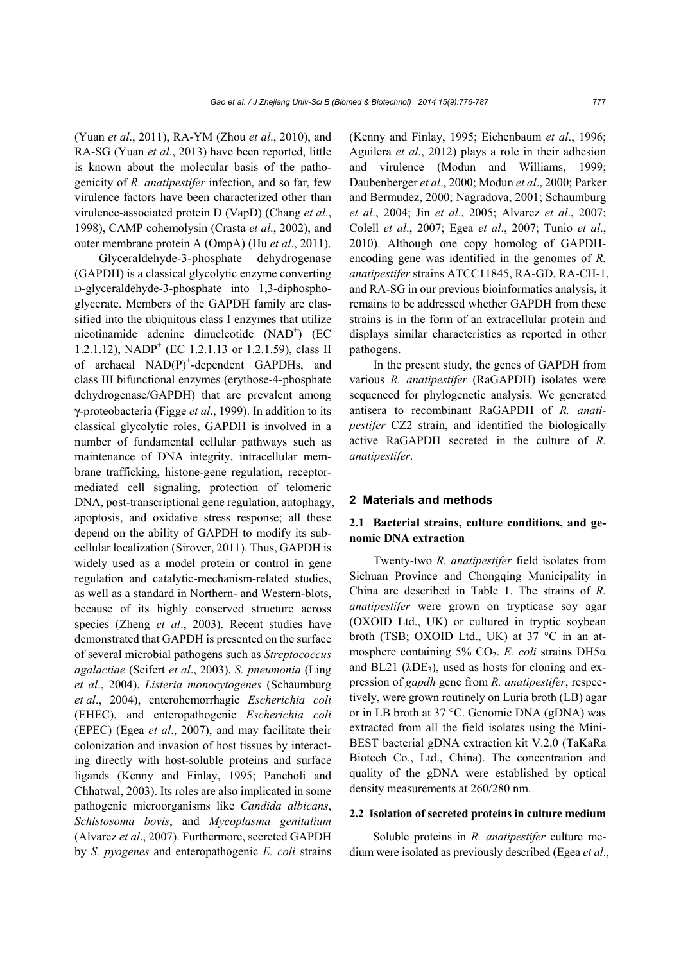(Yuan *et al*., 2011), RA-YM (Zhou *et al*., 2010), and RA-SG (Yuan *et al*., 2013) have been reported, little is known about the molecular basis of the pathogenicity of *R. anatipestifer* infection, and so far, few virulence factors have been characterized other than virulence-associated protein D (VapD) (Chang *et al*., 1998), CAMP cohemolysin (Crasta *et al*., 2002), and outer membrane protein A (OmpA) (Hu *et al*., 2011).

Glyceraldehyde-3-phosphate dehydrogenase (GAPDH) is a classical glycolytic enzyme converting D-glyceraldehyde-3-phosphate into 1,3-diphosphoglycerate. Members of the GAPDH family are classified into the ubiquitous class I enzymes that utilize nicotinamide adenine dinucleotide (NAD<sup>+</sup>) (EC 1.2.1.12), NADP<sup>+</sup> (EC 1.2.1.13 or 1.2.1.59), class II of archaeal  $NAD(P)^+$ -dependent GAPDHs, and class III bifunctional enzymes (erythose-4-phosphate dehydrogenase/GAPDH) that are prevalent among γ-proteobacteria (Figge *et al*., 1999). In addition to its classical glycolytic roles, GAPDH is involved in a number of fundamental cellular pathways such as maintenance of DNA integrity, intracellular membrane trafficking, histone-gene regulation, receptormediated cell signaling, protection of telomeric DNA, post-transcriptional gene regulation, autophagy, apoptosis, and oxidative stress response; all these depend on the ability of GAPDH to modify its subcellular localization (Sirover, 2011). Thus, GAPDH is widely used as a model protein or control in gene regulation and catalytic-mechanism-related studies, as well as a standard in Northern- and Western-blots, because of its highly conserved structure across species (Zheng *et al*., 2003). Recent studies have demonstrated that GAPDH is presented on the surface of several microbial pathogens such as *Streptococcus agalactiae* (Seifert *et al*., 2003), *S. pneumonia* (Ling *et al*., 2004), *Listeria monocytogenes* (Schaumburg *et al*., 2004), enterohemorrhagic *Escherichia coli* (EHEC), and enteropathogenic *Escherichia coli*  (EPEC) (Egea *et al*., 2007), and may facilitate their colonization and invasion of host tissues by interacting directly with host-soluble proteins and surface ligands (Kenny and Finlay, 1995; Pancholi and Chhatwal, 2003). Its roles are also implicated in some pathogenic microorganisms like *Candida albicans*, *Schistosoma bovis*, and *Mycoplasma genitalium*  (Alvarez *et al*., 2007). Furthermore, secreted GAPDH by *S. pyogenes* and enteropathogenic *E. coli* strains

(Kenny and Finlay, 1995; Eichenbaum *et al*., 1996; Aguilera *et al*., 2012) plays a role in their adhesion and virulence (Modun and Williams, 1999; Daubenberger *et al*., 2000; Modun *et al*., 2000; Parker and Bermudez, 2000; Nagradova, 2001; Schaumburg *et al*., 2004; Jin *et al*., 2005; Alvarez *et al*., 2007; Colell *et al*., 2007; Egea *et al*., 2007; Tunio *et al*., 2010). Although one copy homolog of GAPDHencoding gene was identified in the genomes of *R. anatipestifer* strains ATCC11845, RA-GD, RA-CH-1, and RA-SG in our previous bioinformatics analysis, it remains to be addressed whether GAPDH from these strains is in the form of an extracellular protein and displays similar characteristics as reported in other pathogens.

In the present study, the genes of GAPDH from various *R. anatipestifer* (RaGAPDH) isolates were sequenced for phylogenetic analysis. We generated antisera to recombinant RaGAPDH of *R. anatipestifer* CZ2 strain, and identified the biologically active RaGAPDH secreted in the culture of *R. anatipestifer*.

#### **2 Materials and methods**

# **2.1 Bacterial strains, culture conditions, and genomic DNA extraction**

Twenty-two *R. anatipestifer* field isolates from Sichuan Province and Chongqing Municipality in China are described in Table 1. The strains of *R. anatipestifer* were grown on trypticase soy agar (OXOID Ltd., UK) or cultured in tryptic soybean broth (TSB; OXOID Ltd., UK) at 37 °C in an atmosphere containing 5% CO<sub>2</sub>. *E. coli* strains DH5α and BL21 ( $\lambda$ DE<sub>3</sub>), used as hosts for cloning and expression of *gapdh* gene from *R. anatipestifer*, respectively, were grown routinely on Luria broth (LB) agar or in LB broth at 37 °C. Genomic DNA (gDNA) was extracted from all the field isolates using the Mini-BEST bacterial gDNA extraction kit V.2.0 (TaKaRa Biotech Co., Ltd., China). The concentration and quality of the gDNA were established by optical density measurements at 260/280 nm.

### **2.2 Isolation of secreted proteins in culture medium**

Soluble proteins in *R. anatipestifer* culture medium were isolated as previously described (Egea *et al*.,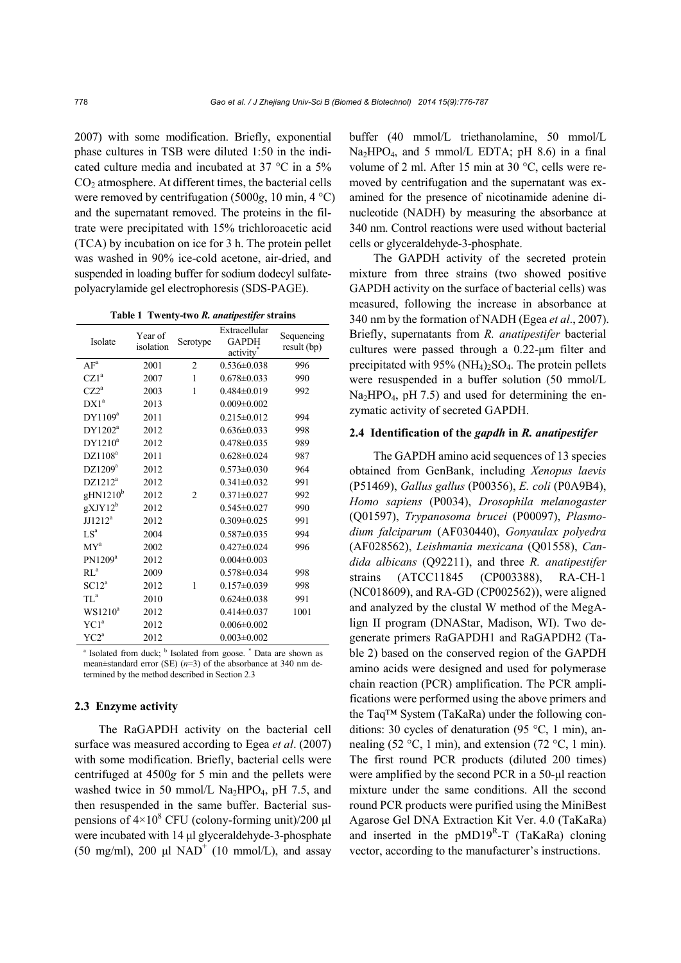2007) with some modification. Briefly, exponential phase cultures in TSB were diluted 1:50 in the indicated culture media and incubated at 37 °C in a 5% CO<sub>2</sub> atmosphere. At different times, the bacterial cells were removed by centrifugation (5000*g*, 10 min, 4 °C) and the supernatant removed. The proteins in the filtrate were precipitated with 15% trichloroacetic acid (TCA) by incubation on ice for 3 h. The protein pellet was washed in 90% ice-cold acetone, air-dried, and suspended in loading buffer for sodium dodecyl sulfatepolyacrylamide gel electrophoresis (SDS-PAGE).

**Table 1 Twenty-two** *R. anatipestifer* **strains**

| Isolate              | Year of<br>isolation | Serotype       | Extracellular<br><b>GAPDH</b><br>activity <sup>®</sup> | Sequencing<br>result (bp) |
|----------------------|----------------------|----------------|--------------------------------------------------------|---------------------------|
| $\mathbf{AF}^a$      | 2001                 | $\overline{2}$ | $0.536 \pm 0.038$                                      | 996                       |
| CZ1 <sup>a</sup>     | 2007                 | 1              | $0.678 \pm 0.033$                                      | 990                       |
| $CZ2^a$              | 2003                 | 1              | $0.484\pm0.019$                                        | 992                       |
| $DX1^a$              | 2013                 |                | $0.009 \pm 0.002$                                      |                           |
| DY1109 <sup>a</sup>  | 2011                 |                | $0.215 \pm 0.012$                                      | 994                       |
| DY1202 <sup>a</sup>  | 2012                 |                | $0.636 \pm 0.033$                                      | 998                       |
| $DY1210^a$           | 2012                 |                | $0.478 \pm 0.035$                                      | 989                       |
| DZ1108 <sup>a</sup>  | 2011                 |                | $0.628 \pm 0.024$                                      | 987                       |
| DZ1209 <sup>a</sup>  | 2012                 |                | $0.573 \pm 0.030$                                      | 964                       |
| $DZ1212^a$           | 2012                 |                | $0.341 \pm 0.032$                                      | 991                       |
| gHM1210 <sup>b</sup> | 2012                 | $\overline{2}$ | $0.371 \pm 0.027$                                      | 992                       |
| $gXYY12^b$           | 2012                 |                | $0.545 \pm 0.027$                                      | 990                       |
| $JJ1212^a$           | 2012                 |                | $0.309 \pm 0.025$                                      | 991                       |
| $LS^a$               | 2004                 |                | $0.587 \pm 0.035$                                      | 994                       |
| MY <sup>a</sup>      | 2002                 |                | $0.427 \pm 0.024$                                      | 996                       |
| PN1209 <sup>a</sup>  | 2012                 |                | $0.004 \pm 0.003$                                      |                           |
| RL <sup>a</sup>      | 2009                 |                | $0.578 \pm 0.034$                                      | 998                       |
| SC12 <sup>a</sup>    | 2012                 | 1              | $0.157 \pm 0.039$                                      | 998                       |
| $TL^a$               | 2010                 |                | $0.624 \pm 0.038$                                      | 991                       |
| $WS1210^a$           | 2012                 |                | $0.414 \pm 0.037$                                      | 1001                      |
| YC1 <sup>a</sup>     | 2012                 |                | $0.006 \pm 0.002$                                      |                           |
| $YC2^a$              | 2012                 |                | $0.003 \pm 0.002$                                      |                           |

<sup>a</sup> Isolated from duck; <sup>b</sup> Isolated from goose. \* Data are shown as mean±standard error (SE) (*n*=3) of the absorbance at 340 nm determined by the method described in Section 2.3

# **2.3 Enzyme activity**

The RaGAPDH activity on the bacterial cell surface was measured according to Egea *et al*. (2007) with some modification. Briefly, bacterial cells were centrifuged at 4500*g* for 5 min and the pellets were washed twice in 50 mmol/L  $Na<sub>2</sub>HPO<sub>4</sub>$ , pH 7.5, and then resuspended in the same buffer. Bacterial suspensions of  $4 \times 10^8$  CFU (colony-forming unit)/200  $\mu$ l were incubated with 14 μl glyceraldehyde-3-phosphate (50 mg/ml), 200  $\mu$ l NAD<sup>+</sup> (10 mmol/L), and assay buffer (40 mmol/L triethanolamine, 50 mmol/L Na<sub>2</sub>HPO<sub>4</sub>, and 5 mmol/L EDTA; pH 8.6) in a final volume of 2 ml. After 15 min at 30 °C, cells were removed by centrifugation and the supernatant was examined for the presence of nicotinamide adenine dinucleotide (NADH) by measuring the absorbance at 340 nm. Control reactions were used without bacterial cells or glyceraldehyde-3-phosphate.

The GAPDH activity of the secreted protein mixture from three strains (two showed positive GAPDH activity on the surface of bacterial cells) was measured, following the increase in absorbance at 340 nm by the formation of NADH (Egea *et al*., 2007). Briefly, supernatants from *R. anatipestifer* bacterial cultures were passed through a 0.22-μm filter and precipitated with  $95\%$  (NH<sub>4</sub>)<sub>2</sub>SO<sub>4</sub>. The protein pellets were resuspended in a buffer solution (50 mmol/L  $Na<sub>2</sub>HPO<sub>4</sub>$ , pH 7.5) and used for determining the enzymatic activity of secreted GAPDH.

# **2.4 Identification of the** *gapdh* **in** *R. anatipestifer*

The GAPDH amino acid sequences of 13 species obtained from GenBank, including *Xenopus laevis*  (P51469), *Gallus gallus* (P00356), *E. coli* (P0A9B4), *Homo sapiens* (P0034), *Drosophila melanogaster*  (Q01597), *Trypanosoma brucei* (P00097), *Plasmodium falciparum* (AF030440), *Gonyaulax polyedra*  (AF028562), *Leishmania mexicana* (Q01558), *Candida albicans* (Q92211), and three *R. anatipestifer*  strains (ATCC11845 (CP003388), RA-CH-1 (NC018609), and RA-GD (CP002562)), were aligned and analyzed by the clustal W method of the MegAlign II program (DNAStar, Madison, WI). Two degenerate primers RaGAPDH1 and RaGAPDH2 (Table 2) based on the conserved region of the GAPDH amino acids were designed and used for polymerase chain reaction (PCR) amplification. The PCR amplifications were performed using the above primers and the Taq™ System (TaKaRa) under the following conditions: 30 cycles of denaturation (95 °C, 1 min), annealing (52 °C, 1 min), and extension (72 °C, 1 min). The first round PCR products (diluted 200 times) were amplified by the second PCR in a 50-μl reaction mixture under the same conditions. All the second round PCR products were purified using the MiniBest Agarose Gel DNA Extraction Kit Ver. 4.0 (TaKaRa) and inserted in the  $pMD19<sup>R</sup> - T$  (TaKaRa) cloning vector, according to the manufacturer's instructions.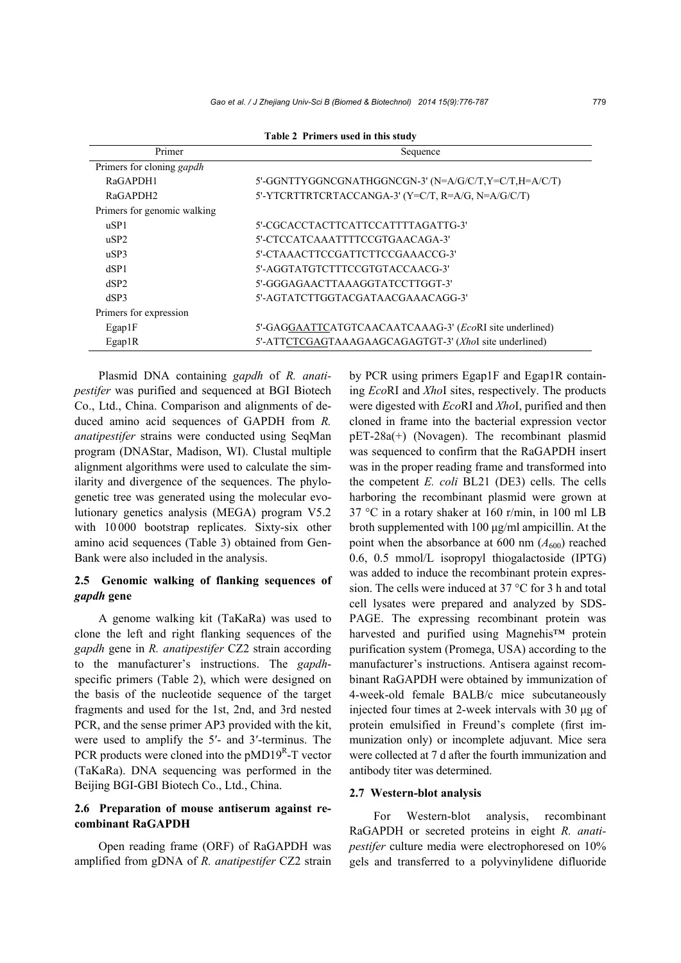| Primer                      | Sequence                                                |  |  |
|-----------------------------|---------------------------------------------------------|--|--|
| Primers for cloning gapdh   |                                                         |  |  |
| RaGAPDH1                    | 5'-GGNTTYGGNCGNATHGGNCGN-3' (N=A/G/C/T,Y=C/T,H=A/C/T)   |  |  |
| RaGAPDH <sub>2</sub>        | 5'-YTCRTTRTCRTACCANGA-3' (Y=C/T, R=A/G, N=A/G/C/T)      |  |  |
| Primers for genomic walking |                                                         |  |  |
| uSP1                        | 5'-CGCACCTACTTCATTCCATTTTAGATTG-3'                      |  |  |
| uSP2                        | 5'-CTCCATCAAATTTTCCGTGAACAGA-3'                         |  |  |
| $\mu$ SP3                   | 5'-CTAAACTTCCGATTCTTCCGAAACCG-3'                        |  |  |
| dSP1                        | 5'-AGGTATGTCTTTCCGTGTACCAACG-3'                         |  |  |
| dSP2                        | 5'-GGGAGAACTTAAAGGTATCCTTGGT-3'                         |  |  |
| dSP3                        | 5'-AGTATCTTGGTACGATAACGAAACAGG-3'                       |  |  |
| Primers for expression      |                                                         |  |  |
| Egap1F                      | 5'-GAGGAATTCATGTCAACAATCAAAG-3' (EcoRI site underlined) |  |  |
| Egap1R                      | 5'-ATTCTCGAGTAAAGAAGCAGAGTGT-3' (XhoI site underlined)  |  |  |

**Table 2 Primers used in this study** 

Plasmid DNA containing *gapdh* of *R. anatipestifer* was purified and sequenced at BGI Biotech Co., Ltd., China. Comparison and alignments of deduced amino acid sequences of GAPDH from *R. anatipestifer* strains were conducted using SeqMan program (DNAStar, Madison, WI). Clustal multiple alignment algorithms were used to calculate the similarity and divergence of the sequences. The phylogenetic tree was generated using the molecular evolutionary genetics analysis (MEGA) program V5.2 with 10 000 bootstrap replicates. Sixty-six other amino acid sequences (Table 3) obtained from Gen-Bank were also included in the analysis.

# **2.5 Genomic walking of flanking sequences of**  *gapdh* **gene**

A genome walking kit (TaKaRa) was used to clone the left and right flanking sequences of the *gapdh* gene in *R. anatipestifer* CZ2 strain according to the manufacturer's instructions. The *gapdh*specific primers (Table 2), which were designed on the basis of the nucleotide sequence of the target fragments and used for the 1st, 2nd, and 3rd nested PCR, and the sense primer AP3 provided with the kit, were used to amplify the 5′- and 3′-terminus. The PCR products were cloned into the  $pMD19<sup>R</sup>$ -T vector (TaKaRa). DNA sequencing was performed in the Beijing BGI-GBI Biotech Co., Ltd., China.

# **2.6 Preparation of mouse antiserum against recombinant RaGAPDH**

Open reading frame (ORF) of RaGAPDH was amplified from gDNA of *R. anatipestifer* CZ2 strain by PCR using primers Egap1F and Egap1R containing *Eco*RI and *Xho*I sites, respectively. The products were digested with *Eco*RI and *Xho*I, purified and then cloned in frame into the bacterial expression vector pET-28a(+) (Novagen). The recombinant plasmid was sequenced to confirm that the RaGAPDH insert was in the proper reading frame and transformed into the competent *E. coli* BL21 (DE3) cells. The cells harboring the recombinant plasmid were grown at 37 °C in a rotary shaker at 160 r/min, in 100 ml LB broth supplemented with 100 μg/ml ampicillin. At the point when the absorbance at 600 nm  $(A_{600})$  reached 0.6, 0.5 mmol/L isopropyl thiogalactoside (IPTG) was added to induce the recombinant protein expression. The cells were induced at 37 °C for 3 h and total cell lysates were prepared and analyzed by SDS-PAGE. The expressing recombinant protein was harvested and purified using Magnehis™ protein purification system (Promega, USA) according to the manufacturer's instructions. Antisera against recombinant RaGAPDH were obtained by immunization of 4-week-old female BALB/c mice subcutaneously injected four times at 2-week intervals with 30 μg of protein emulsified in Freund's complete (first immunization only) or incomplete adjuvant. Mice sera were collected at 7 d after the fourth immunization and antibody titer was determined.

## **2.7 Western-blot analysis**

For Western-blot analysis, recombinant RaGAPDH or secreted proteins in eight *R. anatipestifer* culture media were electrophoresed on 10% gels and transferred to a polyvinylidene difluoride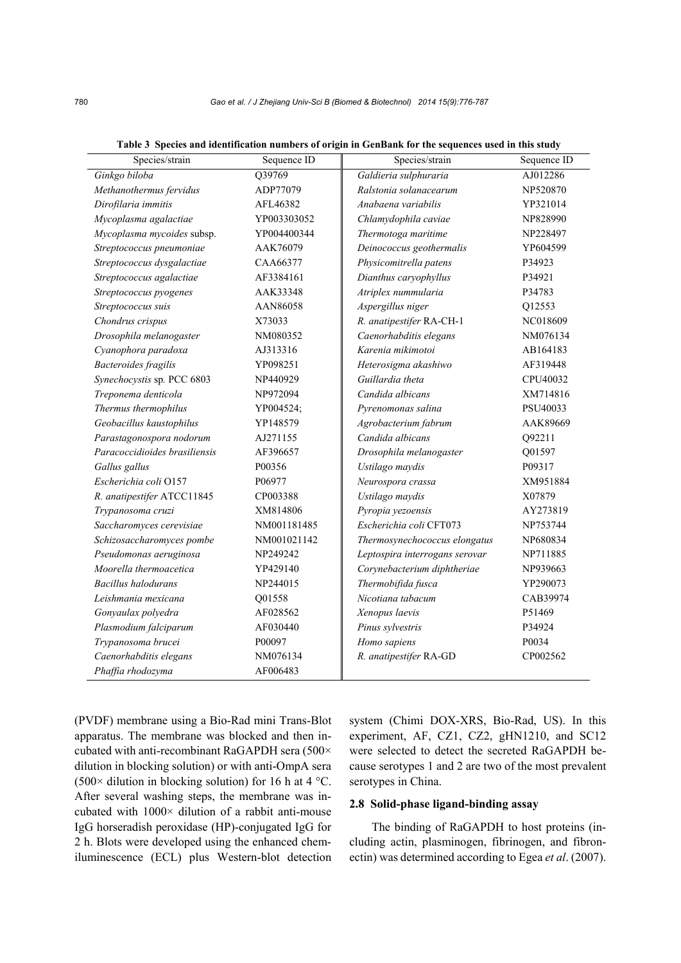| Species/strain                | Sequence ID | Species/strain                 | Sequence ID |
|-------------------------------|-------------|--------------------------------|-------------|
| Ginkgo biloba                 | Q39769      | Galdieria sulphuraria          | AJ012286    |
| Methanothermus fervidus       | ADP77079    | Ralstonia solanacearum         | NP520870    |
| Dirofilaria immitis           | AFL46382    | Anabaena variabilis            | YP321014    |
| Mycoplasma agalactiae         | YP003303052 | Chlamydophila caviae           | NP828990    |
| Mycoplasma mycoides subsp.    | YP004400344 | Thermotoga maritime            | NP228497    |
| Streptococcus pneumoniae      | AAK76079    | Deinococcus geothermalis       | YP604599    |
| Streptococcus dysgalactiae    | CAA66377    | Physicomitrella patens         | P34923      |
| Streptococcus agalactiae      | AF3384161   | Dianthus caryophyllus          | P34921      |
| Streptococcus pyogenes        | AAK33348    | Atriplex nummularia            | P34783      |
| Streptococcus suis            | AAN86058    | Aspergillus niger              | Q12553      |
| Chondrus crispus              | X73033      | R. anatipestifer RA-CH-1       | NC018609    |
| Drosophila melanogaster       | NM080352    | Caenorhabditis elegans         | NM076134    |
| Cyanophora paradoxa           | AJ313316    | Karenia mikimotoi              | AB164183    |
| <b>Bacteroides</b> fragilis   | YP098251    | Heterosigma akashiwo           | AF319448    |
| Synechocystis sp. PCC 6803    | NP440929    | Guillardia theta               | CPU40032    |
| Treponema denticola           | NP972094    | Candida albicans               | XM714816    |
| Thermus thermophilus          | YP004524;   | Pyrenomonas salina             | PSU40033    |
| Geobacillus kaustophilus      | YP148579    | Agrobacterium fabrum           | AAK89669    |
| Parastagonospora nodorum      | AJ271155    | Candida albicans               | Q92211      |
| Paracoccidioides brasiliensis | AF396657    | Drosophila melanogaster        | Q01597      |
| Gallus gallus                 | P00356      | Ustilago maydis                | P09317      |
| Escherichia coli O157         | P06977      | Neurospora crassa              | XM951884    |
| R. anatipestifer ATCC11845    | CP003388    | Ustilago maydis                | X07879      |
| Trypanosoma cruzi             | XM814806    | Pyropia yezoensis              | AY273819    |
| Saccharomyces cerevisiae      | NM001181485 | Escherichia coli CFT073        | NP753744    |
| Schizosaccharomyces pombe     | NM001021142 | Thermosynechococcus elongatus  | NP680834    |
| Pseudomonas aeruginosa        | NP249242    | Leptospira interrogans serovar | NP711885    |
| Moorella thermoacetica        | YP429140    | Corynebacterium diphtheriae    | NP939663    |
| Bacillus halodurans           | NP244015    | Thermobifida fusca             | YP290073    |
| Leishmania mexicana           | Q01558      | Nicotiana tabacum              | CAB39974    |
| Gonyaulax polyedra            | AF028562    | Xenopus laevis                 | P51469      |
| Plasmodium falciparum         | AF030440    | Pinus sylvestris               | P34924      |
| Trypanosoma brucei            | P00097      | Homo sapiens                   | P0034       |
| Caenorhabditis elegans        | NM076134    | R. anatipestifer RA-GD         | CP002562    |
| Phaffia rhodozyma             | AF006483    |                                |             |

**Table 3 Species and identification numbers of origin in GenBank for the sequences used in this study**

(PVDF) membrane using a Bio-Rad mini Trans-Blot apparatus. The membrane was blocked and then incubated with anti-recombinant RaGAPDH sera (500× dilution in blocking solution) or with anti-OmpA sera (500 $\times$  dilution in blocking solution) for 16 h at 4 °C. After several washing steps, the membrane was incubated with 1000× dilution of a rabbit anti-mouse IgG horseradish peroxidase (HP)-conjugated IgG for 2 h. Blots were developed using the enhanced chemiluminescence (ECL) plus Western-blot detection system (Chimi DOX-XRS, Bio-Rad, US). In this experiment, AF, CZ1, CZ2, gHN1210, and SC12 were selected to detect the secreted RaGAPDH because serotypes 1 and 2 are two of the most prevalent serotypes in China.

## **2.8 Solid-phase ligand-binding assay**

The binding of RaGAPDH to host proteins (including actin, plasminogen, fibrinogen, and fibronectin) was determined according to Egea *et al*. (2007).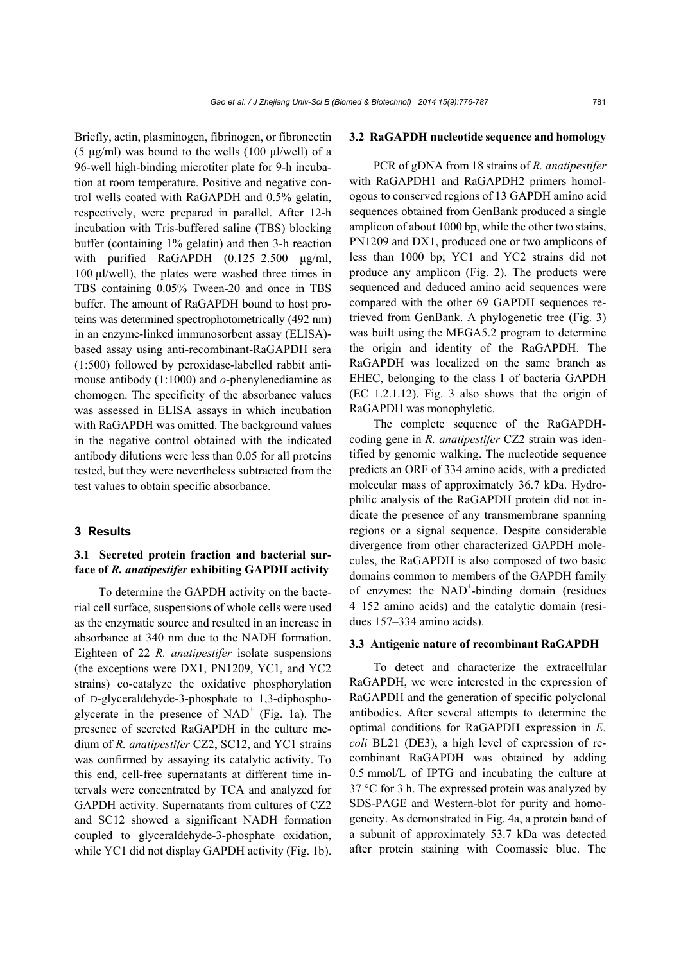Briefly, actin, plasminogen, fibrinogen, or fibronectin (5 μg/ml) was bound to the wells (100 μl/well) of a 96-well high-binding microtiter plate for 9-h incubation at room temperature. Positive and negative control wells coated with RaGAPDH and 0.5% gelatin, respectively, were prepared in parallel. After 12-h incubation with Tris-buffered saline (TBS) blocking buffer (containing 1% gelatin) and then 3-h reaction with purified RaGAPDH (0.125–2.500 μg/ml, 100 μl/well), the plates were washed three times in TBS containing 0.05% Tween-20 and once in TBS buffer. The amount of RaGAPDH bound to host proteins was determined spectrophotometrically (492 nm) in an enzyme-linked immunosorbent assay (ELISA) based assay using anti-recombinant-RaGAPDH sera (1:500) followed by peroxidase-labelled rabbit antimouse antibody (1:1000) and *o*-phenylenediamine as chomogen. The specificity of the absorbance values was assessed in ELISA assays in which incubation with RaGAPDH was omitted. The background values in the negative control obtained with the indicated antibody dilutions were less than 0.05 for all proteins tested, but they were nevertheless subtracted from the test values to obtain specific absorbance.

## **3 Results**

# **3.1 Secreted protein fraction and bacterial surface of** *R. anatipestifer* **exhibiting GAPDH activity**

To determine the GAPDH activity on the bacterial cell surface, suspensions of whole cells were used as the enzymatic source and resulted in an increase in absorbance at 340 nm due to the NADH formation. Eighteen of 22 *R. anatipestifer* isolate suspensions (the exceptions were DX1, PN1209, YC1, and YC2 strains) co-catalyze the oxidative phosphorylation of D-glyceraldehyde-3-phosphate to 1,3-diphosphoglycerate in the presence of  $NAD^+$  (Fig. 1a). The presence of secreted RaGAPDH in the culture medium of *R. anatipestifer* CZ2, SC12, and YC1 strains was confirmed by assaying its catalytic activity. To this end, cell-free supernatants at different time intervals were concentrated by TCA and analyzed for GAPDH activity. Supernatants from cultures of CZ2 and SC12 showed a significant NADH formation coupled to glyceraldehyde-3-phosphate oxidation, while YC1 did not display GAPDH activity (Fig. 1b).

### **3.2 RaGAPDH nucleotide sequence and homology**

PCR of gDNA from 18 strains of *R. anatipestifer*  with RaGAPDH1 and RaGAPDH2 primers homologous to conserved regions of 13 GAPDH amino acid sequences obtained from GenBank produced a single amplicon of about 1000 bp, while the other two stains, PN1209 and DX1, produced one or two amplicons of less than 1000 bp; YC1 and YC2 strains did not produce any amplicon (Fig. 2). The products were sequenced and deduced amino acid sequences were compared with the other 69 GAPDH sequences retrieved from GenBank. A phylogenetic tree (Fig. 3) was built using the MEGA5.2 program to determine the origin and identity of the RaGAPDH. The RaGAPDH was localized on the same branch as EHEC, belonging to the class I of bacteria GAPDH (EC 1.2.1.12). Fig. 3 also shows that the origin of RaGAPDH was monophyletic.

The complete sequence of the RaGAPDHcoding gene in *R. anatipestifer* CZ2 strain was identified by genomic walking. The nucleotide sequence predicts an ORF of 334 amino acids, with a predicted molecular mass of approximately 36.7 kDa. Hydrophilic analysis of the RaGAPDH protein did not indicate the presence of any transmembrane spanning regions or a signal sequence. Despite considerable divergence from other characterized GAPDH molecules, the RaGAPDH is also composed of two basic domains common to members of the GAPDH family of enzymes: the NAD<sup>+</sup>-binding domain (residues 4–152 amino acids) and the catalytic domain (residues 157–334 amino acids).

### **3.3 Antigenic nature of recombinant RaGAPDH**

To detect and characterize the extracellular RaGAPDH, we were interested in the expression of RaGAPDH and the generation of specific polyclonal antibodies. After several attempts to determine the optimal conditions for RaGAPDH expression in *E. coli* BL21 (DE3), a high level of expression of recombinant RaGAPDH was obtained by adding 0.5 mmol/L of IPTG and incubating the culture at 37 °C for 3 h. The expressed protein was analyzed by SDS-PAGE and Western-blot for purity and homogeneity. As demonstrated in Fig. 4a, a protein band of a subunit of approximately 53.7 kDa was detected after protein staining with Coomassie blue. The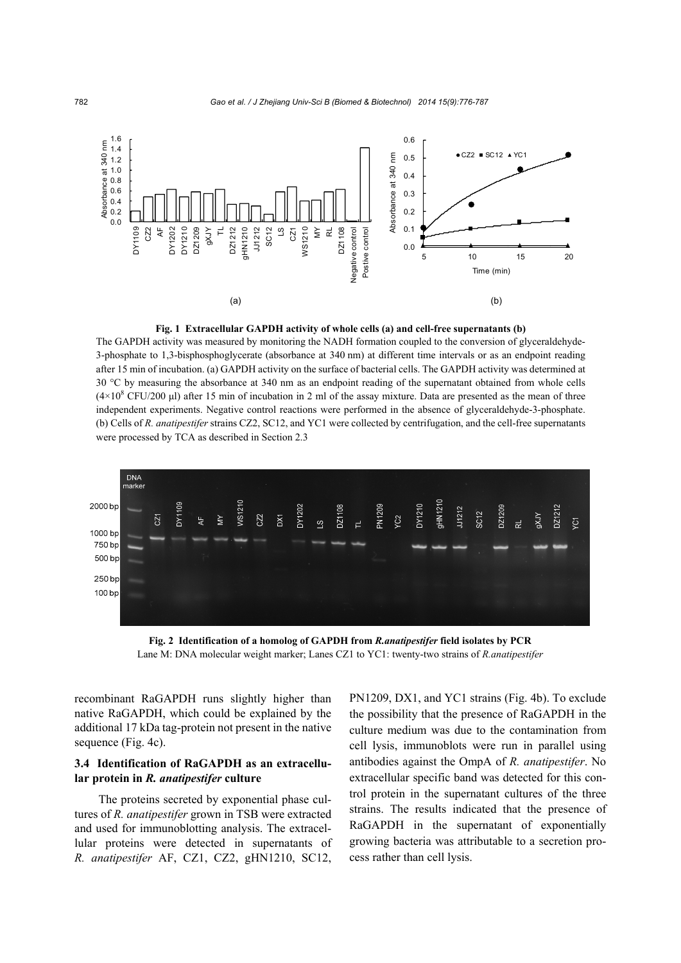



The GAPDH activity was measured by monitoring the NADH formation coupled to the conversion of glyceraldehyde-3-phosphate to 1,3-bisphosphoglycerate (absorbance at 340 nm) at different time intervals or as an endpoint reading after 15 min of incubation. (a) GAPDH activity on the surface of bacterial cells. The GAPDH activity was determined at 30 °C by measuring the absorbance at 340 nm as an endpoint reading of the supernatant obtained from whole cells  $(4\times10^8$  CFU/200 µl) after 15 min of incubation in 2 ml of the assay mixture. Data are presented as the mean of three independent experiments. Negative control reactions were performed in the absence of glyceraldehyde-3-phosphate. (b) Cells of *R. anatipestifer* strains CZ2, SC12, and YC1 were collected by centrifugation, and the cell-free supernatants were processed by TCA as described in Section 2.3



**Fig. 2 Identification of a homolog of GAPDH from** *R.anatipestifer* **field isolates by PCR**  Lane M: DNA molecular weight marker; Lanes CZ1 to YC1: twenty-two strains of *R.anatipestifer*

recombinant RaGAPDH runs slightly higher than native RaGAPDH, which could be explained by the additional 17 kDa tag-protein not present in the native sequence (Fig. 4c).

# **3.4 Identification of RaGAPDH as an extracellular protein in** *R. anatipestifer* **culture**

The proteins secreted by exponential phase cultures of *R. anatipestifer* grown in TSB were extracted and used for immunoblotting analysis. The extracellular proteins were detected in supernatants of *R. anatipestifer* AF, CZ1, CZ2, gHN1210, SC12, PN1209, DX1, and YC1 strains (Fig. 4b). To exclude the possibility that the presence of RaGAPDH in the culture medium was due to the contamination from cell lysis, immunoblots were run in parallel using antibodies against the OmpA of *R. anatipestifer*. No extracellular specific band was detected for this control protein in the supernatant cultures of the three strains. The results indicated that the presence of RaGAPDH in the supernatant of exponentially growing bacteria was attributable to a secretion process rather than cell lysis.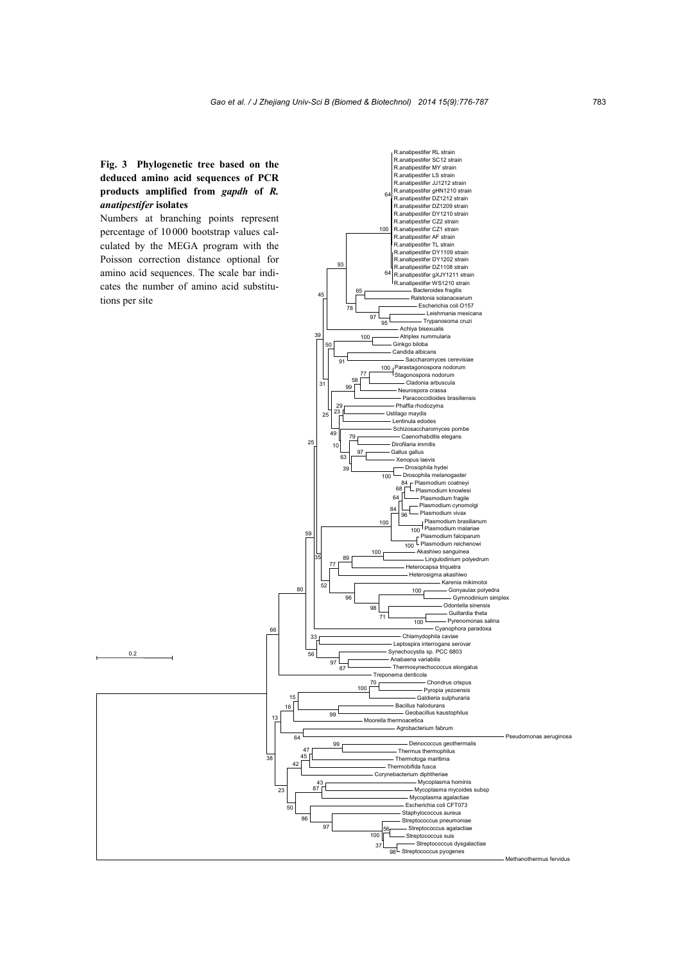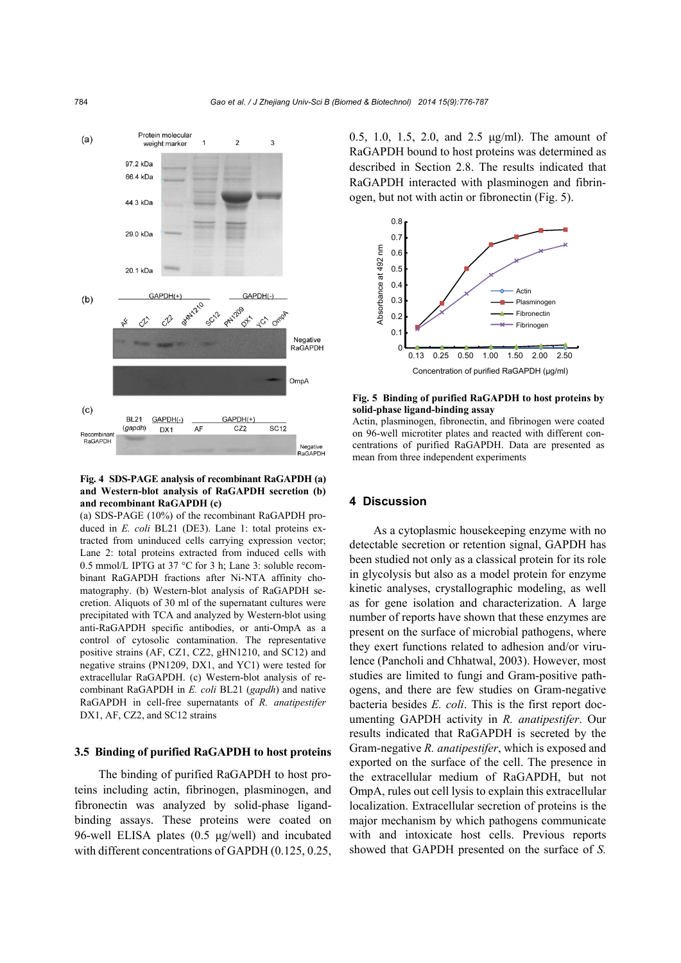

## **Fig. 4 SDS-PAGE analysis of recombinant RaGAPDH (a) and Western-blot analysis of RaGAPDH secretion (b) and recombinant RaGAPDH (c)**

(a) SDS-PAGE (10%) of the recombinant RaGAPDH produced in *E. coli* BL21 (DE3). Lane 1: total proteins extracted from uninduced cells carrying expression vector; Lane 2: total proteins extracted from induced cells with 0.5 mmol/L IPTG at 37 °C for 3 h; Lane 3: soluble recombinant RaGAPDH fractions after Ni-NTA affinity chomatography. (b) Western-blot analysis of RaGAPDH secretion. Aliquots of 30 ml of the supernatant cultures were precipitated with TCA and analyzed by Western-blot using anti-RaGAPDH specific antibodies, or anti-OmpA as a control of cytosolic contamination. The representative positive strains (AF, CZ1, CZ2, gHN1210, and SC12) and negative strains (PN1209, DX1, and YC1) were tested for extracellular RaGAPDH. (c) Western-blot analysis of recombinant RaGAPDH in *E. coli* BL21 (*gapdh*) and native RaGAPDH in cell-free supernatants of *R. anatipestifer* DX1, AF, CZ2, and SC12 strains

## **3.5 Binding of purified RaGAPDH to host proteins**

The binding of purified RaGAPDH to host proteins including actin, fibrinogen, plasminogen, and fibronectin was analyzed by solid-phase ligandbinding assays. These proteins were coated on 96-well ELISA plates (0.5 μg/well) and incubated with different concentrations of GAPDH (0.125, 0.25, 0.5, 1.0, 1.5, 2.0, and 2.5 μg/ml). The amount of RaGAPDH bound to host proteins was determined as described in Section 2.8. The results indicated that RaGAPDH interacted with plasminogen and fibrinogen, but not with actin or fibronectin (Fig. 5).



**Fig. 5 Binding of purified RaGAPDH to host proteins by solid-phase ligand-binding assay** 

Actin, plasminogen, fibronectin, and fibrinogen were coated on 96-well microtiter plates and reacted with different concentrations of purified RaGAPDH. Data are presented as mean from three independent experiments

## **4 Discussion**

As a cytoplasmic housekeeping enzyme with no detectable secretion or retention signal, GAPDH has been studied not only as a classical protein for its role in glycolysis but also as a model protein for enzyme kinetic analyses, crystallographic modeling, as well as for gene isolation and characterization. A large number of reports have shown that these enzymes are present on the surface of microbial pathogens, where they exert functions related to adhesion and/or virulence (Pancholi and Chhatwal, 2003). However, most studies are limited to fungi and Gram-positive pathogens, and there are few studies on Gram-negative bacteria besides *E. coli*. This is the first report documenting GAPDH activity in *R. anatipestifer*. Our results indicated that RaGAPDH is secreted by the Gram-negative *R. anatipestifer*, which is exposed and exported on the surface of the cell. The presence in the extracellular medium of RaGAPDH, but not OmpA, rules out cell lysis to explain this extracellular localization. Extracellular secretion of proteins is the major mechanism by which pathogens communicate with and intoxicate host cells. Previous reports showed that GAPDH presented on the surface of *S.*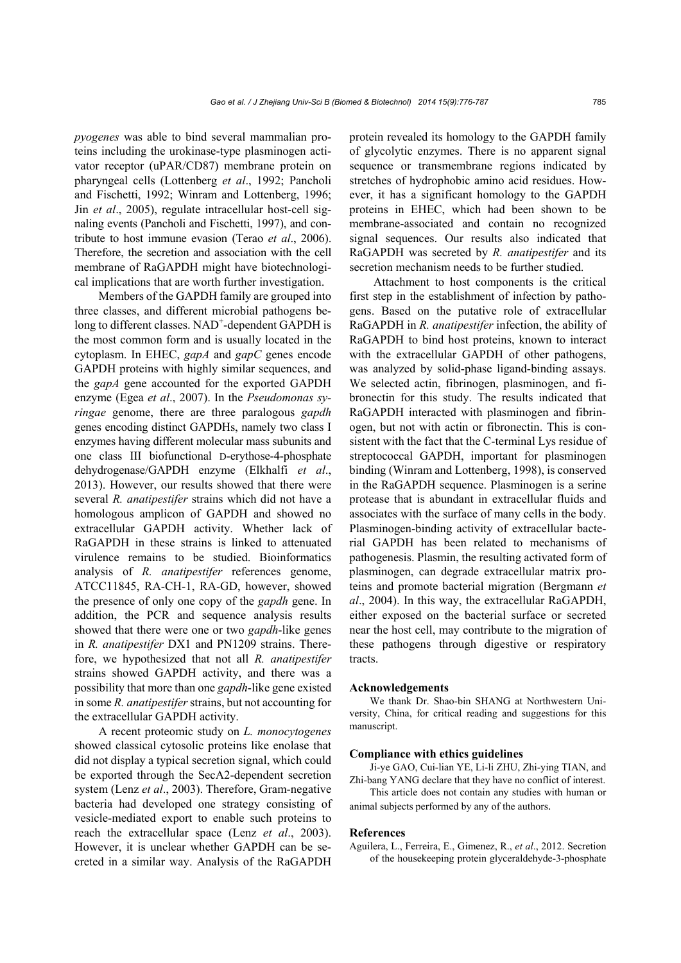*pyogenes* was able to bind several mammalian proteins including the urokinase-type plasminogen activator receptor (uPAR/CD87) membrane protein on pharyngeal cells (Lottenberg *et al*., 1992; Pancholi and Fischetti, 1992; Winram and Lottenberg, 1996; Jin *et al*., 2005), regulate intracellular host-cell signaling events (Pancholi and Fischetti, 1997), and contribute to host immune evasion (Terao *et al*., 2006). Therefore, the secretion and association with the cell membrane of RaGAPDH might have biotechnological implications that are worth further investigation.

Members of the GAPDH family are grouped into three classes, and different microbial pathogens belong to different classes. NAD<sup>+</sup>-dependent GAPDH is the most common form and is usually located in the cytoplasm. In EHEC, *gapA* and *gapC* genes encode GAPDH proteins with highly similar sequences, and the *gapA* gene accounted for the exported GAPDH enzyme (Egea *et al*., 2007). In the *Pseudomonas syringae* genome, there are three paralogous *gapdh* genes encoding distinct GAPDHs, namely two class I enzymes having different molecular mass subunits and one class III biofunctional D-erythose-4-phosphate dehydrogenase/GAPDH enzyme (Elkhalfi *et al*., 2013). However, our results showed that there were several *R. anatipestifer* strains which did not have a homologous amplicon of GAPDH and showed no extracellular GAPDH activity. Whether lack of RaGAPDH in these strains is linked to attenuated virulence remains to be studied. Bioinformatics analysis of *R. anatipestifer* references genome, ATCC11845, RA-CH-1, RA-GD, however, showed the presence of only one copy of the *gapdh* gene. In addition, the PCR and sequence analysis results showed that there were one or two *gapdh*-like genes in *R. anatipestifer* DX1 and PN1209 strains. Therefore, we hypothesized that not all *R. anatipestifer* strains showed GAPDH activity, and there was a possibility that more than one *gapdh*-like gene existed in some *R. anatipestifer* strains, but not accounting for the extracellular GAPDH activity.

A recent proteomic study on *L. monocytogenes*  showed classical cytosolic proteins like enolase that did not display a typical secretion signal, which could be exported through the SecA2-dependent secretion system (Lenz *et al*., 2003). Therefore, Gram-negative bacteria had developed one strategy consisting of vesicle-mediated export to enable such proteins to reach the extracellular space (Lenz *et al*., 2003). However, it is unclear whether GAPDH can be secreted in a similar way. Analysis of the RaGAPDH

protein revealed its homology to the GAPDH family of glycolytic enzymes. There is no apparent signal sequence or transmembrane regions indicated by stretches of hydrophobic amino acid residues. However, it has a significant homology to the GAPDH proteins in EHEC, which had been shown to be membrane-associated and contain no recognized signal sequences. Our results also indicated that RaGAPDH was secreted by *R. anatipestifer* and its secretion mechanism needs to be further studied.

Attachment to host components is the critical first step in the establishment of infection by pathogens. Based on the putative role of extracellular RaGAPDH in *R. anatipestifer* infection, the ability of RaGAPDH to bind host proteins, known to interact with the extracellular GAPDH of other pathogens, was analyzed by solid-phase ligand-binding assays. We selected actin, fibrinogen, plasminogen, and fibronectin for this study. The results indicated that RaGAPDH interacted with plasminogen and fibrinogen, but not with actin or fibronectin. This is consistent with the fact that the C-terminal Lys residue of streptococcal GAPDH, important for plasminogen binding (Winram and Lottenberg, 1998), is conserved in the RaGAPDH sequence. Plasminogen is a serine protease that is abundant in extracellular fluids and associates with the surface of many cells in the body. Plasminogen-binding activity of extracellular bacterial GAPDH has been related to mechanisms of pathogenesis. Plasmin, the resulting activated form of plasminogen, can degrade extracellular matrix proteins and promote bacterial migration (Bergmann *et al*., 2004). In this way, the extracellular RaGAPDH, either exposed on the bacterial surface or secreted near the host cell, may contribute to the migration of these pathogens through digestive or respiratory tracts.

#### **Acknowledgements**

We thank Dr. Shao-bin SHANG at Northwestern University, China, for critical reading and suggestions for this manuscript.

#### **Compliance with ethics guidelines**

Ji-ye GAO, Cui-lian YE, Li-li ZHU, Zhi-ying TIAN, and Zhi-bang YANG declare that they have no conflict of interest.

This article does not contain any studies with human or animal subjects performed by any of the authors.

#### **References**

Aguilera, L., Ferreira, E., Gimenez, R., *et al*., 2012. Secretion of the housekeeping protein glyceraldehyde-3-phosphate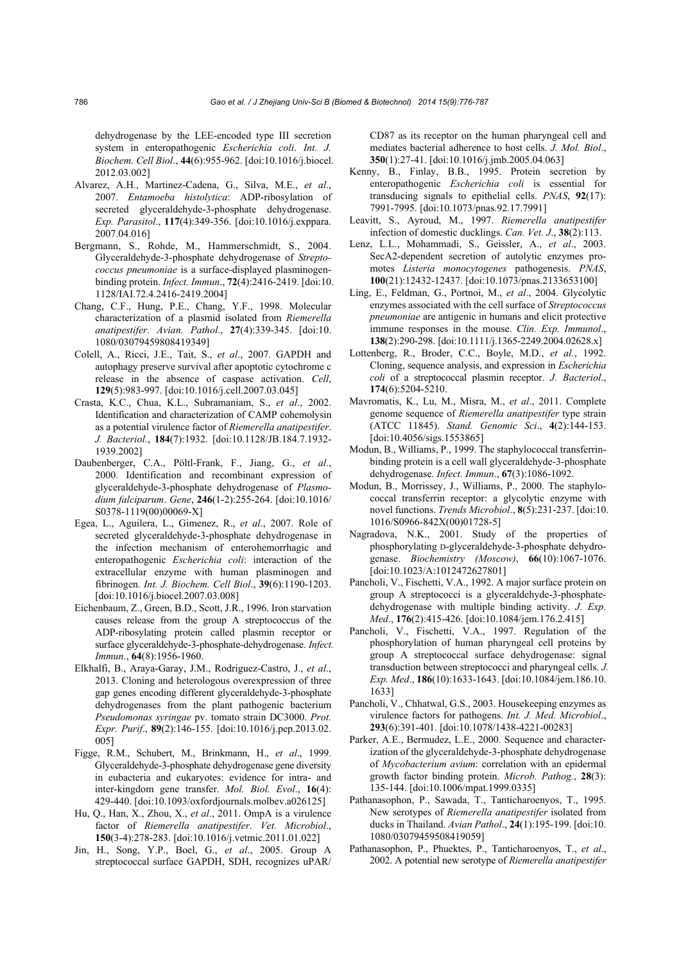dehydrogenase by the LEE-encoded type III secretion system in enteropathogenic *Escherichia coli*. *Int. J. Biochem. Cell Biol*., **44**(6):955-962. [doi:10.1016/j.biocel. 2012.03.002]

- Alvarez, A.H., Martinez-Cadena, G., Silva, M.E., *et al*., 2007. *Entamoeba histolytica*: ADP-ribosylation of secreted glyceraldehyde-3-phosphate dehydrogenase. *Exp. Parasitol*., **117**(4):349-356. [doi:10.1016/j.exppara. 2007.04.016]
- Bergmann, S., Rohde, M., Hammerschmidt, S., 2004. Glyceraldehyde-3-phosphate dehydrogenase of *Streptococcus pneumoniae* is a surface-displayed plasminogenbinding protein. *Infect. Immun*., **72**(4):2416-2419. [doi:10. 1128/IAI.72.4.2416-2419.2004]
- Chang, C.F., Hung, P.E., Chang, Y.F., 1998. Molecular characterization of a plasmid isolated from *Riemerella anatipestifer*. *Avian. Pathol*., **27**(4):339-345. [doi:10. 1080/03079459808419349]
- Colell, A., Ricci, J.E., Tait, S., *et al*., 2007. GAPDH and autophagy preserve survival after apoptotic cytochrome c release in the absence of caspase activation. *Cell*, **129**(5):983-997. [doi:10.1016/j.cell.2007.03.045]
- Crasta, K.C., Chua, K.L., Subramaniam, S., *et al*., 2002. Identification and characterization of CAMP cohemolysin as a potential virulence factor of *Riemerella anatipestifer*. *J. Bacteriol.*, **184**(7):1932. [doi:10.1128/JB.184.7.1932- 1939.2002]
- Daubenberger, C.A., Pöltl-Frank, F., Jiang, G., *et al*., 2000. Identification and recombinant expression of glyceraldehyde-3-phosphate dehydrogenase of *Plasmodium falciparum*. *Gene*, **246**(1-2):255-264. [doi:10.1016/ S0378-1119(00)00069-X]
- Egea, L., Aguilera, L., Gimenez, R., *et al*., 2007. Role of secreted glyceraldehyde-3-phosphate dehydrogenase in the infection mechanism of enterohemorrhagic and enteropathogenic *Escherichia coli*: interaction of the extracellular enzyme with human plasminogen and fibrinogen. *Int. J. Biochem. Cell Biol*., **39**(6):1190-1203. [doi:10.1016/j.biocel.2007.03.008]
- Eichenbaum, Z., Green, B.D., Scott, J.R., 1996. Iron starvation causes release from the group A streptococcus of the ADP-ribosylating protein called plasmin receptor or surface glyceraldehyde-3-phosphate-dehydrogenase. *Infect. Immun*., **64**(8):1956-1960.
- Elkhalfi, B., Araya-Garay, J.M., Rodriguez-Castro, J., *et al*., 2013. Cloning and heterologous overexpression of three gap genes encoding different glyceraldehyde-3-phosphate dehydrogenases from the plant pathogenic bacterium *Pseudomonas syringae* pv. tomato strain DC3000. *Prot. Expr. Purif*., **89**(2):146-155. [doi:10.1016/j.pep.2013.02. 005]
- Figge, R.M., Schubert, M., Brinkmann, H., *et al*., 1999. Glyceraldehyde-3-phosphate dehydrogenase gene diversity in eubacteria and eukaryotes: evidence for intra- and inter-kingdom gene transfer. *Mol. Biol. Evol*., **16**(4): 429-440. [doi:10.1093/oxfordjournals.molbev.a026125]
- Hu, Q., Han, X., Zhou, X., *et al*., 2011. OmpA is a virulence factor of *Riemerella anatipestifer*. *Vet. Microbiol*., **150**(3-4):278-283. [doi:10.1016/j.vetmic.2011.01.022]
- Jin, H., Song, Y.P., Boel, G., *et al*., 2005. Group A streptococcal surface GAPDH, SDH, recognizes uPAR/

CD87 as its receptor on the human pharyngeal cell and mediates bacterial adherence to host cells. *J. Mol. Biol*., **350**(1):27-41. [doi:10.1016/j.jmb.2005.04.063]

- Kenny, B., Finlay, B.B., 1995. Protein secretion by enteropathogenic *Escherichia coli* is essential for transducing signals to epithelial cells. *PNAS*, **92**(17): 7991-7995. [doi:10.1073/pnas.92.17.7991]
- Leavitt, S., Ayroud, M., 1997. *Riemerella anatipestifer*  infection of domestic ducklings. *Can. Vet. J*., **38**(2):113.
- Lenz, L.L., Mohammadi, S., Geissler, A., *et al*., 2003. SecA2-dependent secretion of autolytic enzymes promotes *Listeria monocytogenes* pathogenesis. *PNAS*, **100**(21):12432-12437. [doi:10.1073/pnas.2133653100]
- Ling, E., Feldman, G., Portnoi, M., *et al*., 2004. Glycolytic enzymes associated with the cell surface of *Streptococcus pneumoniae* are antigenic in humans and elicit protective immune responses in the mouse. *Clin. Exp. Immunol*., **138**(2):290-298. [doi:10.1111/j.1365-2249.2004.02628.x]
- Lottenberg, R., Broder, C.C., Boyle, M.D., *et al.*, 1992. Cloning, sequence analysis, and expression in *Escherichia coli* of a streptococcal plasmin receptor. *J. Bacteriol*., **174**(6):5204-5210.
- Mavromatis, K., Lu, M., Misra, M., *et al*., 2011. Complete genome sequence of *Riemerella anatipestifer* type strain (ATCC 11845). *Stand. Genomic Sci*., **4**(2):144-153. [doi:10.4056/sigs.1553865]
- Modun, B., Williams, P., 1999. The staphylococcal transferrinbinding protein is a cell wall glyceraldehyde-3-phosphate dehydrogenase. *Infect. Immun*., **67**(3):1086-1092.
- Modun, B., Morrissey, J., Williams, P., 2000. The staphylococcal transferrin receptor: a glycolytic enzyme with novel functions. *Trends Microbiol*., **8**(5):231-237. [doi:10. 1016/S0966-842X(00)01728-5]
- Nagradova, N.K., 2001. Study of the properties of phosphorylating D-glyceraldehyde-3-phosphate dehydrogenase. *Biochemistry (Moscow)*, **66**(10):1067-1076. [doi:10.1023/A:1012472627801]
- Pancholi, V., Fischetti, V.A., 1992. A major surface protein on group A streptococci is a glyceraldehyde-3-phosphatedehydrogenase with multiple binding activity. *J. Exp. Med*., **176**(2):415-426. [doi:10.1084/jem.176.2.415]
- Pancholi, V., Fischetti, V.A., 1997. Regulation of the phosphorylation of human pharyngeal cell proteins by group A streptococcal surface dehydrogenase: signal transduction between streptococci and pharyngeal cells. *J. Exp. Med*., **186**(10):1633-1643. [doi:10.1084/jem.186.10. 1633]
- Pancholi, V., Chhatwal, G.S., 2003. Housekeeping enzymes as virulence factors for pathogens. *Int. J. Med. Microbiol*., **293**(6):391-401. [doi:10.1078/1438-4221-00283]
- Parker, A.E., Bermudez, L.E., 2000. Sequence and characterization of the glyceraldehyde-3-phosphate dehydrogenase of *Mycobacterium avium*: correlation with an epidermal growth factor binding protein. *Microb. Pathog.*, **28**(3): 135-144. [doi:10.1006/mpat.1999.0335]
- Pathanasophon, P., Sawada, T., Tanticharoenyos, T., 1995. New serotypes of *Riemerella anatipestifer* isolated from ducks in Thailand. *Avian Pathol*., **24**(1):195-199. [doi:10. 1080/03079459508419059]
- Pathanasophon, P., Phuektes, P., Tanticharoenyos, T., *et al*., 2002. A potential new serotype of *Riemerella anatipestifer*